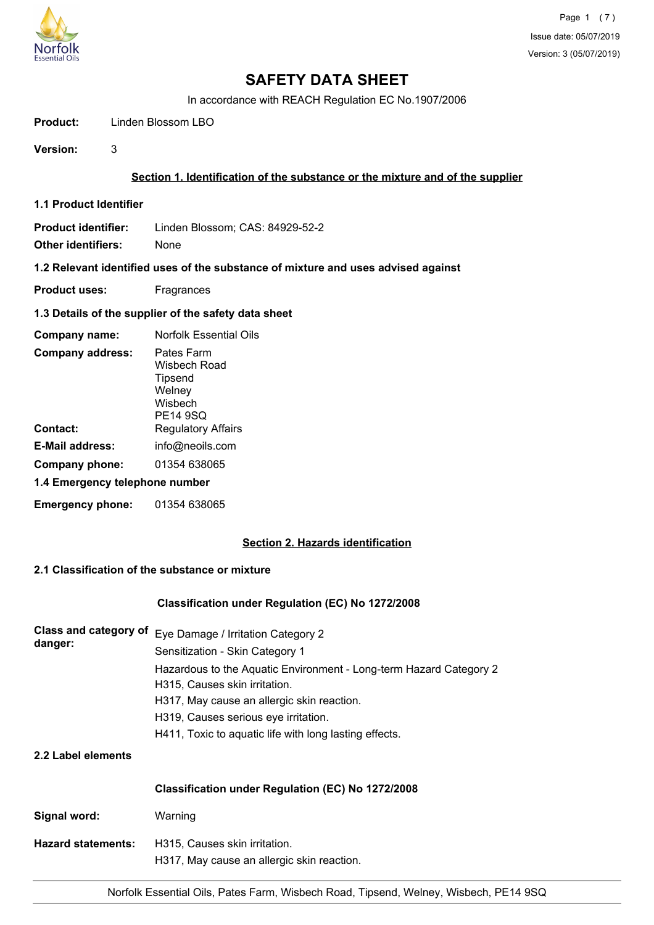

In accordance with REACH Regulation EC No.1907/2006

**Product:** Linden Blossom LBO

**Version:** 3

# **Section 1. Identification of the substance or the mixture and of the supplier**

**1.1 Product Identifier**

**Product identifier:** Linden Blossom; CAS: 84929-52-2 **Other identifiers:** None

## **1.2 Relevant identified uses of the substance of mixture and uses advised against**

- **Product uses:** Fragrances
- **1.3 Details of the supplier of the safety data sheet**

| Company name:                  | <b>Norfolk Essential Oils</b>                                                 |
|--------------------------------|-------------------------------------------------------------------------------|
| <b>Company address:</b>        | Pates Farm<br>Wisbech Road<br>Tipsend<br>Welney<br>Wisbech<br><b>PE14 9SQ</b> |
| Contact:                       | <b>Regulatory Affairs</b>                                                     |
| E-Mail address:                | info@neoils.com                                                               |
| Company phone:                 | 01354 638065                                                                  |
| 1.4 Emergency telephone number |                                                                               |
| <b>Emergency phone:</b>        | 01354 638065                                                                  |

# **Section 2. Hazards identification**

# **2.1 Classification of the substance or mixture**

# **Classification under Regulation (EC) No 1272/2008**

| Class and category of<br>danger: | Eye Damage / Irritation Category 2                                                                  |  |
|----------------------------------|-----------------------------------------------------------------------------------------------------|--|
|                                  | Sensitization - Skin Category 1                                                                     |  |
|                                  | Hazardous to the Aquatic Environment - Long-term Hazard Category 2<br>H315, Causes skin irritation. |  |
|                                  | H317, May cause an allergic skin reaction.                                                          |  |
|                                  | H319, Causes serious eye irritation.                                                                |  |
|                                  | H411, Toxic to aquatic life with long lasting effects.                                              |  |
| 2.2 Label elements               |                                                                                                     |  |
|                                  | Classification under Regulation (EC) No 1272/2008                                                   |  |

| Signal word:              | Warning                                    |
|---------------------------|--------------------------------------------|
| <b>Hazard statements:</b> | H315. Causes skin irritation.              |
|                           | H317, May cause an allergic skin reaction. |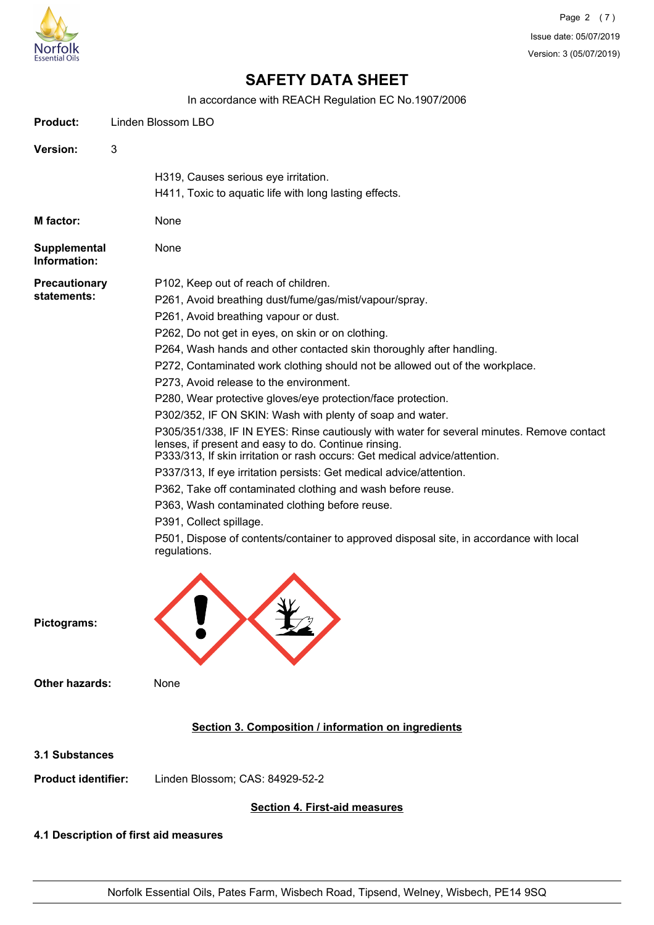

In accordance with REACH Regulation EC No.1907/2006

| <b>Product:</b>                     | Linden Blossom LBO                                                                                                                                                                                                                                                                                                                                                                                                                                                                                                                                                                                                                                                                                                                                                                                                                                                                                                                                                                                                                                                                            |  |
|-------------------------------------|-----------------------------------------------------------------------------------------------------------------------------------------------------------------------------------------------------------------------------------------------------------------------------------------------------------------------------------------------------------------------------------------------------------------------------------------------------------------------------------------------------------------------------------------------------------------------------------------------------------------------------------------------------------------------------------------------------------------------------------------------------------------------------------------------------------------------------------------------------------------------------------------------------------------------------------------------------------------------------------------------------------------------------------------------------------------------------------------------|--|
| Version:                            | 3                                                                                                                                                                                                                                                                                                                                                                                                                                                                                                                                                                                                                                                                                                                                                                                                                                                                                                                                                                                                                                                                                             |  |
|                                     | H319, Causes serious eye irritation.<br>H411, Toxic to aquatic life with long lasting effects.                                                                                                                                                                                                                                                                                                                                                                                                                                                                                                                                                                                                                                                                                                                                                                                                                                                                                                                                                                                                |  |
| M factor:                           | None                                                                                                                                                                                                                                                                                                                                                                                                                                                                                                                                                                                                                                                                                                                                                                                                                                                                                                                                                                                                                                                                                          |  |
| Supplemental<br>Information:        | None                                                                                                                                                                                                                                                                                                                                                                                                                                                                                                                                                                                                                                                                                                                                                                                                                                                                                                                                                                                                                                                                                          |  |
| <b>Precautionary</b><br>statements: | P102, Keep out of reach of children.<br>P261, Avoid breathing dust/fume/gas/mist/vapour/spray.<br>P261, Avoid breathing vapour or dust.<br>P262, Do not get in eyes, on skin or on clothing.<br>P264, Wash hands and other contacted skin thoroughly after handling.<br>P272, Contaminated work clothing should not be allowed out of the workplace.<br>P273, Avoid release to the environment.<br>P280, Wear protective gloves/eye protection/face protection.<br>P302/352, IF ON SKIN: Wash with plenty of soap and water.<br>P305/351/338, IF IN EYES: Rinse cautiously with water for several minutes. Remove contact<br>lenses, if present and easy to do. Continue rinsing.<br>P333/313, If skin irritation or rash occurs: Get medical advice/attention.<br>P337/313, If eye irritation persists: Get medical advice/attention.<br>P362, Take off contaminated clothing and wash before reuse.<br>P363, Wash contaminated clothing before reuse.<br>P391, Collect spillage.<br>P501, Dispose of contents/container to approved disposal site, in accordance with local<br>regulations. |  |
| Pictograms:                         |                                                                                                                                                                                                                                                                                                                                                                                                                                                                                                                                                                                                                                                                                                                                                                                                                                                                                                                                                                                                                                                                                               |  |
| <b>Other hazards:</b>               | None                                                                                                                                                                                                                                                                                                                                                                                                                                                                                                                                                                                                                                                                                                                                                                                                                                                                                                                                                                                                                                                                                          |  |
|                                     | Section 3. Composition / information on ingredients                                                                                                                                                                                                                                                                                                                                                                                                                                                                                                                                                                                                                                                                                                                                                                                                                                                                                                                                                                                                                                           |  |
| <b>3.1 Substances</b>               |                                                                                                                                                                                                                                                                                                                                                                                                                                                                                                                                                                                                                                                                                                                                                                                                                                                                                                                                                                                                                                                                                               |  |
| <b>Product identifier:</b>          | Linden Blossom; CAS: 84929-52-2                                                                                                                                                                                                                                                                                                                                                                                                                                                                                                                                                                                                                                                                                                                                                                                                                                                                                                                                                                                                                                                               |  |
|                                     | <b>Section 4. First-aid measures</b>                                                                                                                                                                                                                                                                                                                                                                                                                                                                                                                                                                                                                                                                                                                                                                                                                                                                                                                                                                                                                                                          |  |

# **4.1 Description of first aid measures**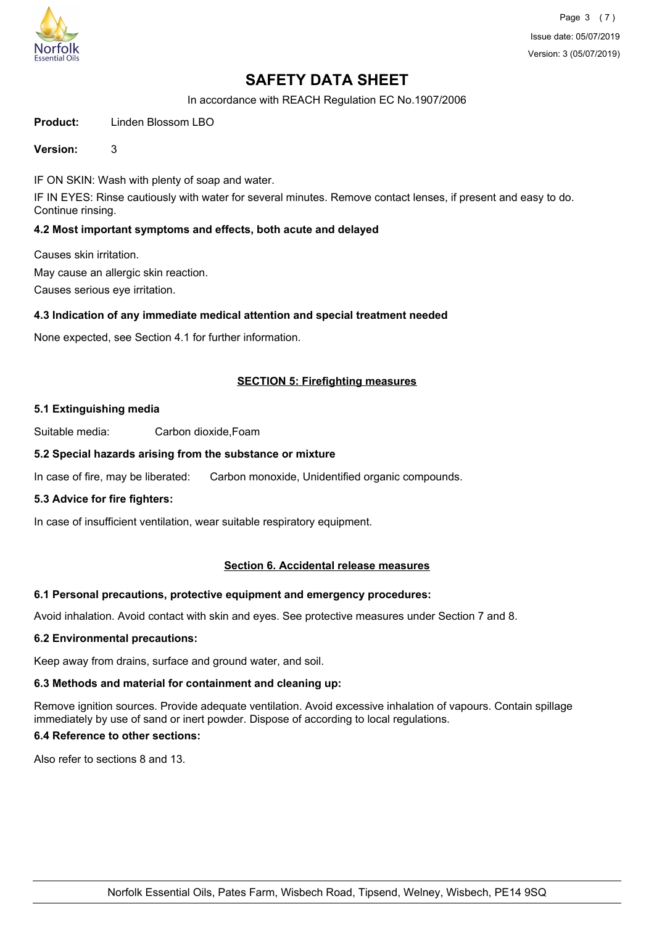

In accordance with REACH Regulation EC No.1907/2006

**Product:** Linden Blossom LBO

## **Version:** 3

IF ON SKIN: Wash with plenty of soap and water.

IF IN EYES: Rinse cautiously with water for several minutes. Remove contact lenses, if present and easy to do. Continue rinsing.

# **4.2 Most important symptoms and effects, both acute and delayed**

Causes skin irritation. May cause an allergic skin reaction.

Causes serious eye irritation.

# **4.3 Indication of any immediate medical attention and special treatment needed**

None expected, see Section 4.1 for further information.

# **SECTION 5: Firefighting measures**

## **5.1 Extinguishing media**

Suitable media: Carbon dioxide,Foam

## **5.2 Special hazards arising from the substance or mixture**

In case of fire, may be liberated: Carbon monoxide, Unidentified organic compounds.

# **5.3 Advice for fire fighters:**

In case of insufficient ventilation, wear suitable respiratory equipment.

# **Section 6. Accidental release measures**

# **6.1 Personal precautions, protective equipment and emergency procedures:**

Avoid inhalation. Avoid contact with skin and eyes. See protective measures under Section 7 and 8.

# **6.2 Environmental precautions:**

Keep away from drains, surface and ground water, and soil.

# **6.3 Methods and material for containment and cleaning up:**

Remove ignition sources. Provide adequate ventilation. Avoid excessive inhalation of vapours. Contain spillage immediately by use of sand or inert powder. Dispose of according to local regulations.

# **6.4 Reference to other sections:**

Also refer to sections 8 and 13.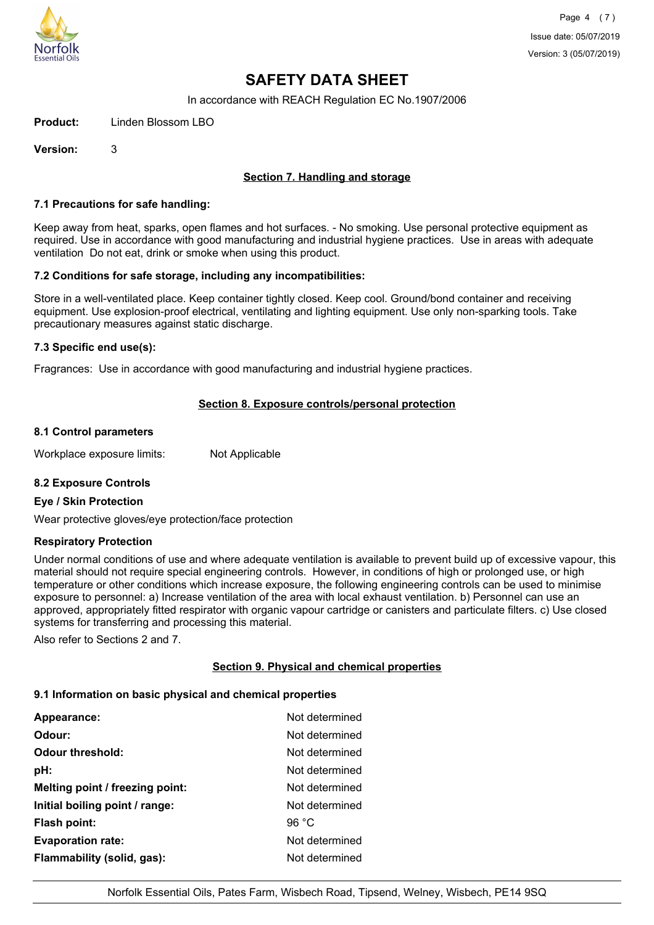

In accordance with REACH Regulation EC No.1907/2006

**Product:** Linden Blossom LBO

**Version:** 3

# **Section 7. Handling and storage**

## **7.1 Precautions for safe handling:**

Keep away from heat, sparks, open flames and hot surfaces. - No smoking. Use personal protective equipment as required. Use in accordance with good manufacturing and industrial hygiene practices. Use in areas with adequate ventilation Do not eat, drink or smoke when using this product.

## **7.2 Conditions for safe storage, including any incompatibilities:**

Store in a well-ventilated place. Keep container tightly closed. Keep cool. Ground/bond container and receiving equipment. Use explosion-proof electrical, ventilating and lighting equipment. Use only non-sparking tools. Take precautionary measures against static discharge.

## **7.3 Specific end use(s):**

Fragrances: Use in accordance with good manufacturing and industrial hygiene practices.

# **Section 8. Exposure controls/personal protection**

## **8.1 Control parameters**

Workplace exposure limits: Not Applicable

# **8.2 Exposure Controls**

#### **Eye / Skin Protection**

Wear protective gloves/eye protection/face protection

#### **Respiratory Protection**

Under normal conditions of use and where adequate ventilation is available to prevent build up of excessive vapour, this material should not require special engineering controls. However, in conditions of high or prolonged use, or high temperature or other conditions which increase exposure, the following engineering controls can be used to minimise exposure to personnel: a) Increase ventilation of the area with local exhaust ventilation. b) Personnel can use an approved, appropriately fitted respirator with organic vapour cartridge or canisters and particulate filters. c) Use closed systems for transferring and processing this material.

Also refer to Sections 2 and 7.

# **Section 9. Physical and chemical properties**

#### **9.1 Information on basic physical and chemical properties**

| Appearance:                     | Not determined |
|---------------------------------|----------------|
| Odour:                          | Not determined |
| <b>Odour threshold:</b>         | Not determined |
| pH:                             | Not determined |
| Melting point / freezing point: | Not determined |
| Initial boiling point / range:  | Not determined |
| <b>Flash point:</b>             | 96 $°C$        |
| <b>Evaporation rate:</b>        | Not determined |
| Flammability (solid, gas):      | Not determined |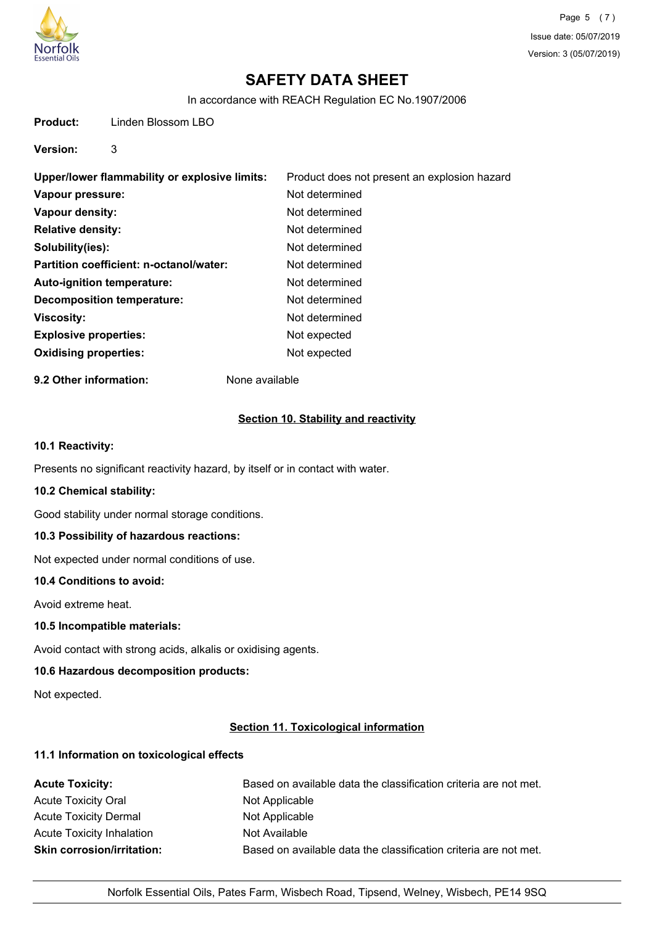

In accordance with REACH Regulation EC No.1907/2006

**Product:** Linden Blossom LBO

**Version:** 3

| Upper/lower flammability or explosive limits: | Product does not present an explosion hazard |
|-----------------------------------------------|----------------------------------------------|
| Vapour pressure:                              | Not determined                               |
| Vapour density:                               | Not determined                               |
| <b>Relative density:</b>                      | Not determined                               |
| Solubility(ies):                              | Not determined                               |
| Partition coefficient: n-octanol/water:       | Not determined                               |
| Auto-ignition temperature:                    | Not determined                               |
| Decomposition temperature:                    | Not determined                               |
| <b>Viscosity:</b>                             | Not determined                               |
| <b>Explosive properties:</b>                  | Not expected                                 |
| <b>Oxidising properties:</b>                  | Not expected                                 |
|                                               |                                              |

**9.2 Other information:** None available

# **Section 10. Stability and reactivity**

## **10.1 Reactivity:**

Presents no significant reactivity hazard, by itself or in contact with water.

## **10.2 Chemical stability:**

Good stability under normal storage conditions.

# **10.3 Possibility of hazardous reactions:**

Not expected under normal conditions of use.

## **10.4 Conditions to avoid:**

Avoid extreme heat.

# **10.5 Incompatible materials:**

Avoid contact with strong acids, alkalis or oxidising agents.

# **10.6 Hazardous decomposition products:**

Not expected.

# **Section 11. Toxicological information**

# **11.1 Information on toxicological effects**

| <b>Acute Toxicity:</b>            | Based on available data the classification criteria are not met. |
|-----------------------------------|------------------------------------------------------------------|
| <b>Acute Toxicity Oral</b>        | Not Applicable                                                   |
| <b>Acute Toxicity Dermal</b>      | Not Applicable                                                   |
| Acute Toxicity Inhalation         | Not Available                                                    |
| <b>Skin corrosion/irritation:</b> | Based on available data the classification criteria are not met. |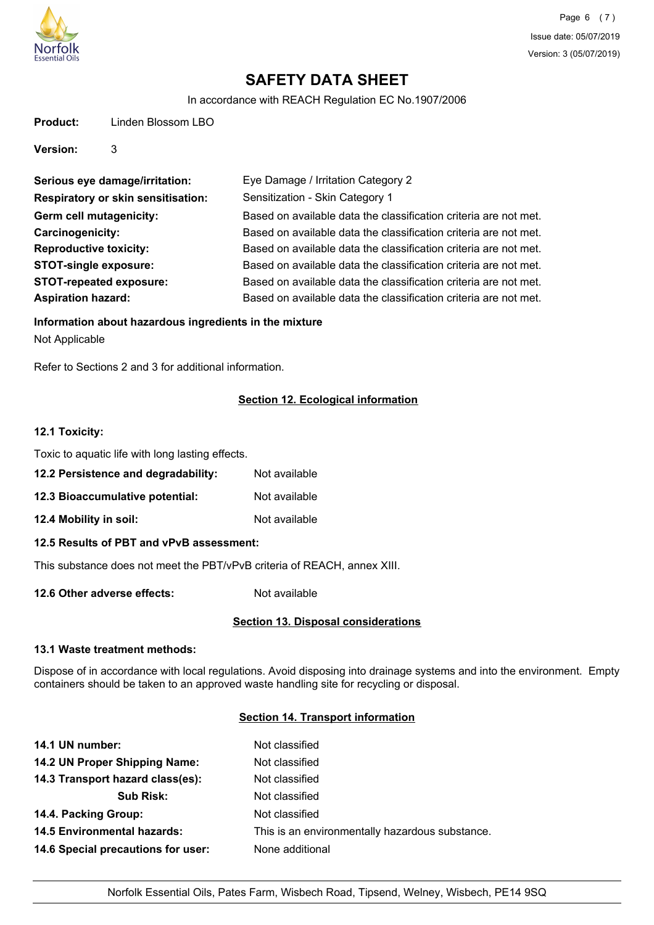

In accordance with REACH Regulation EC No.1907/2006

| Product: | Linden Blossom LBO |
|----------|--------------------|
|          |                    |

**Version:** 3

| Serious eye damage/irritation:            | Eye Damage / Irritation Category 2                               |
|-------------------------------------------|------------------------------------------------------------------|
| <b>Respiratory or skin sensitisation:</b> | Sensitization - Skin Category 1                                  |
| Germ cell mutagenicity:                   | Based on available data the classification criteria are not met. |
| Carcinogenicity:                          | Based on available data the classification criteria are not met. |
| <b>Reproductive toxicity:</b>             | Based on available data the classification criteria are not met. |
| <b>STOT-single exposure:</b>              | Based on available data the classification criteria are not met. |
| <b>STOT-repeated exposure:</b>            | Based on available data the classification criteria are not met. |
| <b>Aspiration hazard:</b>                 | Based on available data the classification criteria are not met. |

## **Information about hazardous ingredients in the mixture**

Not Applicable

Refer to Sections 2 and 3 for additional information.

# **Section 12. Ecological information**

## **12.1 Toxicity:**

Toxic to aquatic life with long lasting effects.

- **12.2 Persistence and degradability:** Not available
- **12.3 Bioaccumulative potential:** Not available
- **12.4 Mobility in soil:** Not available

# **12.5 Results of PBT and vPvB assessment:**

This substance does not meet the PBT/vPvB criteria of REACH, annex XIII.

**12.6 Other adverse effects:** Not available

# **Section 13. Disposal considerations**

# **13.1 Waste treatment methods:**

Dispose of in accordance with local regulations. Avoid disposing into drainage systems and into the environment. Empty containers should be taken to an approved waste handling site for recycling or disposal.

# **Section 14. Transport information**

| 14.1 UN number:                    | Not classified                                  |
|------------------------------------|-------------------------------------------------|
| 14.2 UN Proper Shipping Name:      | Not classified                                  |
| 14.3 Transport hazard class(es):   | Not classified                                  |
| <b>Sub Risk:</b>                   | Not classified                                  |
| 14.4. Packing Group:               | Not classified                                  |
| <b>14.5 Environmental hazards:</b> | This is an environmentally hazardous substance. |
| 14.6 Special precautions for user: | None additional                                 |